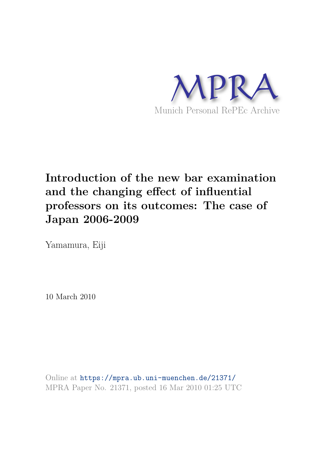

# **Introduction of the new bar examination and the changing effect of influential professors on its outcomes: The case of Japan 2006-2009**

Yamamura, Eiji

10 March 2010

Online at https://mpra.ub.uni-muenchen.de/21371/ MPRA Paper No. 21371, posted 16 Mar 2010 01:25 UTC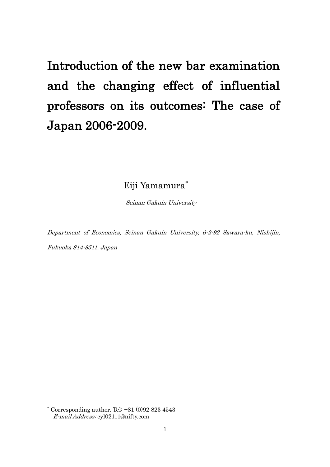Introduction of the new bar examination and the changing effect of influential professors on its outcomes: The case of Japan 2006-2009.

Eiji Yamamura

Seinan Gakuin University

Department of Economics, Seinan Gakuin University, 6-2-92 Sawara-ku, Nishijin,

Fukuoka 814-8511, Japan

-

<sup>\*</sup>  Corresponding author. Tel: +81 (0)92 823 4543 E-mail Address: cyl02111@nifty.com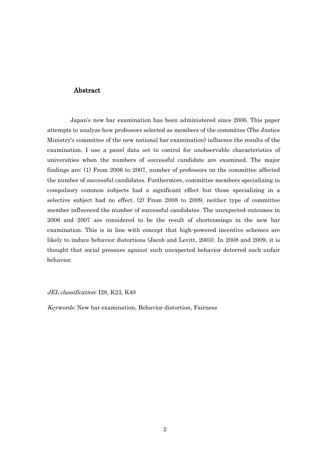#### Abstract

Japan"s new bar examination has been administered since 2006. This paper attempts to analyze how professors selected as members of the committee (The Justice Ministry's committee of the new national bar examination) influence the results of the examination. I use a panel data set to control for unobservable characteristics of universities when the numbers of successful candidate are examined. The major findings are: (1) From 2006 to 2007, number of professors on the committee affected the number of successful candidates. Furthermore, committee members specializing in compulsory common subjects had a significant effect but those specializing in a selective subject had no effect. (2) From 2008 to 2009, neither type of committee member influenced the number of successful candidates. The unexpected outcomes in 2006 and 2007 are considered to be the result of shortcomings in the new bar examination. This is in line with concept that high-powered incentive schemes are likely to induce behavior distortions (Jacob and Levitt, 2003). In 2008 and 2009, it is thought that social pressure against such unexpected behavior deterred such unfair behavior.

JEL classification: I28, K23, K40

Keywords: New bar examination, Behavior distortion, Fairness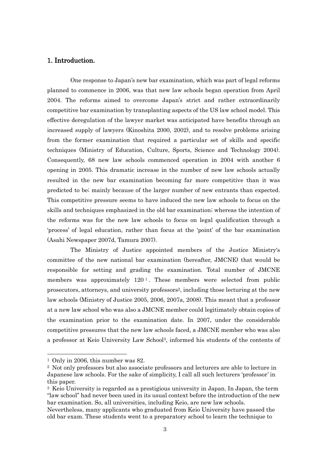#### 1. Introduction.

One response to Japan"s new bar examination, which was part of legal reforms planned to commence in 2006, was that new law schools began operation from April 2004. The reforms aimed to overcome Japan"s strict and rather extraordinarily competitive bar examination by transplanting aspects of the US law school model. This effective deregulation of the lawyer market was anticipated have benefits through an increased supply of lawyers (Kinoshita 2000, 2002), and to resolve problems arising from the former examination that required a particular set of skills and specific techniques (Ministry of Education, Culture, Sports, Science and Technology 2004). Consequently, 68 new law schools commenced operation in 2004 with another 6 opening in 2005. This dramatic increase in the number of new law schools actually resulted in the new bar examination becoming far more competitive than it was predicted to be; mainly because of the larger number of new entrants than expected. This competitive pressure seems to have induced the new law schools to focus on the skills and techniques emphasized in the old bar examination; whereas the intention of the reforms was for the new law schools to focus on legal qualification through a "process" of legal education, rather than focus at the "point" of the bar examination (Asahi Newspaper 2007d, Tamura 2007).

The Ministry of Justice appointed members of the Justice Ministry's committee of the new national bar examination (hereafter, JMCNE) that would be responsible for setting and grading the examination. Total number of JMCNE members was approximately  $120<sup>1</sup>$ . These members were selected from public prosecutors, attorneys, and university professors2, including those lecturing at the new law schools (Ministry of Justice 2005, 2006, 2007a, 2008). This meant that a professor at a new law school who was also a JMCNE member could legitimately obtain copies of the examination prior to the examination date. In 2007, under the considerable competitive pressures that the new law schools faced, a JMCNE member who was also a professor at Keio University Law School3, informed his students of the contents of

1

<sup>&</sup>lt;sup>1</sup> Only in 2006, this number was 82.

<sup>2</sup> Not only professors but also associate professors and lecturers are able to lecture in Japanese law schools. For the sake of simplicity, I call all such lecturers "professor" in this paper.

<sup>3</sup> Keio University is regarded as a prestigious university in Japan. In Japan, the term "law school" had never been used in its usual context before the introduction of the new bar examination. So, all universities, including Keio, are new law schools.

Nevertheless, many applicants who graduated from Keio University have passed the old bar exam. These students went to a preparatory school to learn the technique to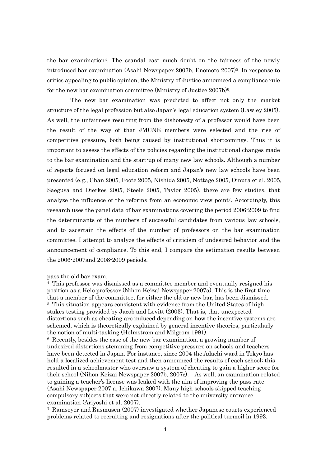the bar examination4. The scandal cast much doubt on the fairness of the newly introduced bar examination (Asahi Newspaper 2007b, Enomoto 2007)5. In response to critics appealing to public opinion, the Ministry of Justice announced a compliance rule for the new bar examination committee (Ministry of Justice 2007b)<sup>6</sup>.

The new bar examination was predicted to affect not only the market structure of the legal profession but also Japan"s legal education system (Lawley 2005). As well, the unfairness resulting from the dishonesty of a professor would have been the result of the way of that JMCNE members were selected and the rise of competitive pressure, both being caused by institutional shortcomings. Thus it is important to assess the effects of the policies regarding the institutional changes made to the bar examination and the start-up of many new law schools. Although a number of reports focused on legal education reform and Japan"s new law schools have been presented (e.g., Chan 2005, Foote 2005, Nishida 2005, Nottage 2005, Omura et al. 2005, Saegusa and Dierkes 2005, Steele 2005, Taylor 2005), there are few studies, that analyze the influence of the reforms from an economic view point7. Accordingly, this research uses the panel data of bar examinations covering the period 2006-2009 to find the determinants of the numbers of successful candidates from various law schools, and to ascertain the effects of the number of professors on the bar examination committee. I attempt to analyze the effects of criticism of undesired behavior and the announcement of compliance. To this end, I compare the estimation results between the 2006-2007and 2008-2009 periods.

1

pass the old bar exam.

<sup>4</sup> This professor was dismissed as a committee member and eventually resigned his position as a Keio professor (Nihon Keizai Newspaper 2007a). This is the first time that a member of the committee, for either the old or new bar, has been dismissed. <sup>5</sup> This situation appears consistent with evidence from the United States of high stakes testing provided by Jacob and Levitt (2003). That is, that unexpected distortions such as cheating are induced depending on how the incentive systems are schemed, which is theoretically explained by general incentive theories, particularly the notion of multi-tasking (Holmstrom and Milgrom 1991).

<sup>6</sup> Recently, besides the case of the new bar examination, a growing number of undesired distortions stemming from competitive pressure on schools and teachers have been detected in Japan. For instance, since 2004 the Adachi ward in Tokyo has held a localized achievement test and then announced the results of each school; this resulted in a schoolmaster who oversaw a system of cheating to gain a higher score for their school (Nihon Keizai Newspaper 2007b, 2007c). As well, an examination related to gaining a teacher"s license was leaked with the aim of improving the pass rate (Asahi Newspaper 2007 a, Ichikawa 2007). Many high schools skipped teaching compulsory subjects that were not directly related to the university entrance examination (Ariyoshi et al. 2007).

<sup>7</sup> Ramseyer and Rasmusen (2007) investigated whether Japanese courts experienced problems related to recruiting and resignations after the political turmoil in 1993.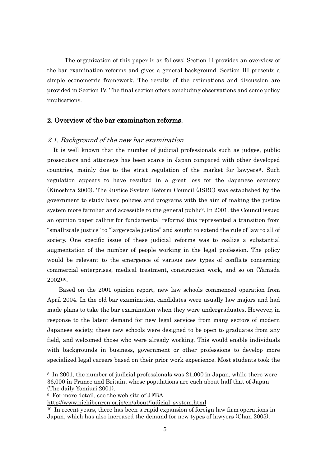The organization of this paper is as follows: Section II provides an overview of the bar examination reforms and gives a general background. Section III presents a simple econometric framework. The results of the estimations and discussion are provided in Section IV. The final section offers concluding observations and some policy implications.

#### 2. Overview of the bar examination reforms.

#### 2.1. Background of the new bar examination

 It is well known that the number of judicial professionals such as judges, public prosecutors and attorneys has been scarce in Japan compared with other developed countries, mainly due to the strict regulation of the market for lawyers<sup>8</sup>. Such regulation appears to have resulted in a great loss for the Japanese economy (Kinoshita 2000). The Justice System Reform Council (JSRC) was established by the government to study basic policies and programs with the aim of making the justice system more familiar and accessible to the general public<sup>9</sup>. In 2001, the Council issued an opinion paper calling for fundamental reforms; this represented a transition from "small-scale justice" to "large-scale justice" and sought to extend the rule of law to all of society. One specific issue of these judicial reforms was to realize a substantial augmentation of the number of people working in the legal profession. The policy would be relevant to the emergence of various new types of conflicts concerning commercial enterprises, medical treatment, construction work, and so on (Yamada 2002)10.

 Based on the 2001 opinion report, new law schools commenced operation from April 2004. In the old bar examination, candidates were usually law majors and had made plans to take the bar examination when they were undergraduates. However, in response to the latent demand for new legal services from many sectors of modern Japanese society, these new schools were designed to be open to graduates from any field, and welcomed those who were already working. This would enable individuals with backgrounds in business, government or other professions to develop more specialized legal careers based on their prior work experience. Most students took the

-

<sup>8</sup> In 2001, the number of judicial professionals was 21,000 in Japan, while there were 36,000 in France and Britain, whose populations are each about half that of Japan (The daily Yomiuri 2001).

<sup>9</sup> For more detail, see the web site of JFBA.

[http://www.nichibenren.or.jp/en/about/judicial\\_system.html](http://www.nichibenren.or.jp/en/about/judicial_system.html)

<sup>&</sup>lt;sup>10</sup> In recent years, there has been a rapid expansion of foreign law firm operations in Japan, which has also increased the demand for new types of lawyers (Chan 2005).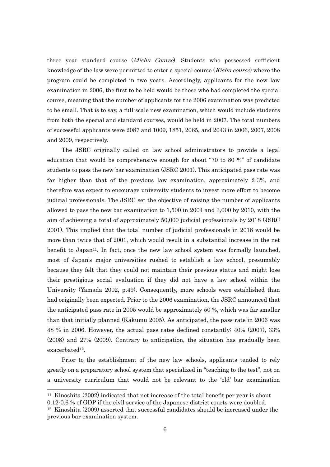three year standard course (Mishu Course). Students who possessed sufficient knowledge of the law were permitted to enter a special course (*Kishu course*) where the program could be completed in two years. Accordingly, applicants for the new law examination in 2006, the first to be held would be those who had completed the special course, meaning that the number of applicants for the 2006 examination was predicted to be small. That is to say, a full-scale new examination, which would include students from both the special and standard courses, would be held in 2007. The total numbers of successful applicants were 2087 and 1009, 1851, 2065, and 2043 in 2006, 2007, 2008 and 2009, respectively.

 The JSRC originally called on law school administrators to provide a legal education that would be comprehensive enough for about "70 to 80 %" of candidate students to pass the new bar examination (JSRC 2001). This anticipated pass rate was far higher than that of the previous law examination, approximately 2-3%, and therefore was expect to encourage university students to invest more effort to become judicial professionals. The JSRC set the objective of raising the number of applicants allowed to pass the new bar examination to 1,500 in 2004 and 3,000 by 2010, with the aim of achieving a total of approximately 50,000 judicial professionals by 2018 (JSRC 2001). This implied that the total number of judicial professionals in 2018 would be more than twice that of 2001, which would result in a substantial increase in the net benefit to Japan<sup>11</sup>. In fact, once the new law school system was formally launched, most of Japan"s major universities rushed to establish a law school, presumably because they felt that they could not maintain their previous status and might lose their prestigious social evaluation if they did not have a law school within the University (Yamada 2002, p.49). Consequently, more schools were established than had originally been expected. Prior to the 2006 examination, the JSRC announced that the anticipated pass rate in 2005 would be approximately 50 %, which was far smaller than that initially planned (Kakumu 2005). As anticipated, the pass rate in 2006 was 48 % in 2006. However, the actual pass rates declined constantly; 40% (2007), 33% (2008) and 27% (2009). Contrary to anticipation, the situation has gradually been exacerbated12.

 Prior to the establishment of the new law schools, applicants tended to rely greatly on a preparatory school system that specialized in "teaching to the test", not on a university curriculum that would not be relevant to the "old" bar examination

-

<sup>11</sup> Kinoshita (2002) indicated that net increase of the total benefit per year is about

<sup>0.12-0.6 %</sup> of GDP if the civil service of the Japanese district courts were doubled.

<sup>12</sup> Kinoshita (2009) asserted that successful candidates should be increased under the previous bar examination system.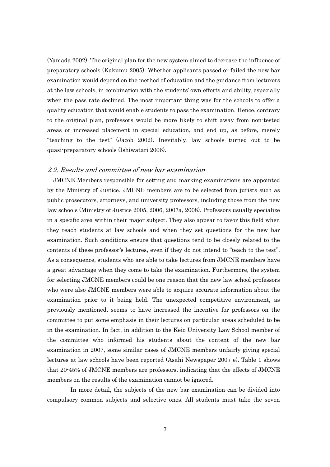(Yamada 2002). The original plan for the new system aimed to decrease the influence of preparatory schools (Kakumu 2005). Whether applicants passed or failed the new bar examination would depend on the method of education and the guidance from lecturers at the law schools, in combination with the students" own efforts and ability, especially when the pass rate declined. The most important thing was for the schools to offer a quality education that would enable students to pass the examination. Hence, contrary to the original plan, professors would be more likely to shift away from non-tested areas or increased placement in special education, and end up, as before, merely "teaching to the test" (Jacob 2002). Inevitably, law schools turned out to be quasi-preparatory schools (Ishiwatari 2006).

#### 2.2. Results and committee of new bar examination

 JMCNE Members responsible for setting and marking examinations are appointed by the Ministry of Justice. JMCNE members are to be selected from jurists such as public prosecutors, attorneys, and university professors, including those from the new law schools (Ministry of Justice 2005, 2006, 2007a, 2008). Professors usually specialize in a specific area within their major subject. They also appear to favor this field when they teach students at law schools and when they set questions for the new bar examination. Such conditions ensure that questions tend to be closely related to the contents of these professor"s lectures, even if they do not intend to "teach to the test". As a consequence, students who are able to take lectures from JMCNE members have a great advantage when they come to take the examination. Furthermore, the system for selecting JMCNE members could be one reason that the new law school professors who were also JMCNE members were able to acquire accurate information about the examination prior to it being held. The unexpected competitive environment, as previously mentioned, seems to have increased the incentive for professors on the committee to put some emphasis in their lectures on particular areas scheduled to be in the examination. In fact, in addition to the Keio University Law School member of the committee who informed his students about the content of the new bar examination in 2007, some similar cases of JMCNE members unfairly giving special lectures at law schools have been reported (Asahi Newspaper 2007 e). Table 1 shows that 20-45% of JMCNE members are professors, indicating that the effects of JMCNE members on the results of the examination cannot be ignored.

In more detail, the subjects of the new bar examination can be divided into compulsory common subjects and selective ones. All students must take the seven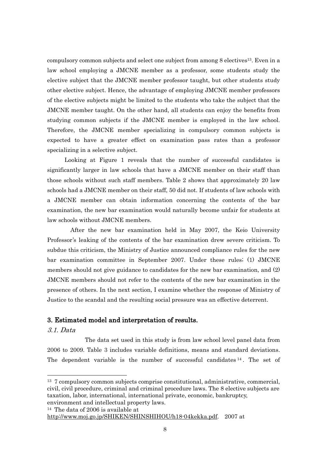compulsory common subjects and select one subject from among 8 electives13. Even in a law school employing a JMCNE member as a professor, some students study the elective subject that the JMCNE member professor taught, but other students study other elective subject. Hence, the advantage of employing JMCNE member professors of the elective subjects might be limited to the students who take the subject that the JMCNE member taught. On the other hand, all students can enjoy the benefits from studying common subjects if the JMCNE member is employed in the law school. Therefore, the JMCNE member specializing in compulsory common subjects is expected to have a greater effect on examination pass rates than a professor specializing in a selective subject.

 Looking at Figure 1 reveals that the number of successful candidates is significantly larger in law schools that have a JMCNE member on their staff than those schools without such staff members. Table 2 shows that approximately 20 law schools had a JMCNE member on their staff, 50 did not. If students of law schools with a JMCNE member can obtain information concerning the contents of the bar examination, the new bar examination would naturally become unfair for students at law schools without JMCNE members.

After the new bar examination held in May 2007, the Keio University Professor's leaking of the contents of the bar examination drew severe criticism. To subdue this criticism, the Ministry of Justice announced compliance rules for the new bar examination committee in September 2007. Under these rules; (1) JMCNE members should not give guidance to candidates for the new bar examination, and (2) JMCNE members should not refer to the contents of the new bar examination in the presence of others. In the next section, I examine whether the response of Ministry of Justice to the scandal and the resulting social pressure was an effective deterrent.

#### 3. Estimated model and interpretation of results.

3.1. Data

1

 The data set used in this study is from law school level panel data from 2006 to 2009. Table 3 includes variable definitions, means and standard deviations. The dependent variable is the number of successful candidates <sup>14</sup> . The set of

<sup>14</sup> The data of 2006 is available at

<sup>13</sup> 7 compulsory common subjects comprise constitutional, administrative, commercial, civil, civil procedure, criminal and criminal procedure laws. The 8 elective subjects are taxation, labor, international, international private, economic, bankruptcy, environment and intellectual property laws.

[http://www.moj.go.jp/SHIKEN/SHINSHIHOU/h18-04kekka.pdf.](http://www.moj.go.jp/SHIKEN/SHINSHIHOU/h18-04kekka.pdf) 2007 at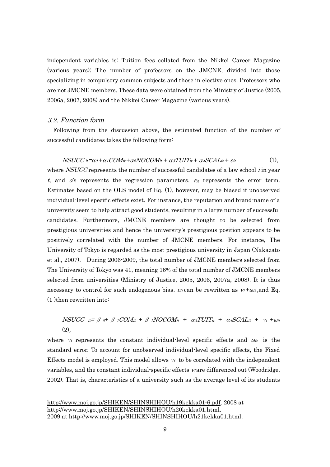independent variables is: Tuition fees collated from the Nikkei Career Magazine (various years); The number of professors on the JMCNE, divided into those specializing in compulsory common subjects and those in elective ones. Professors who are not JMCNE members. These data were obtained from the Ministry of Justice (2005, 2006a, 2007, 2008) and the Nikkei Career Magazine (various years).

#### 3.2. Function form

1

 Following from the discussion above, the estimated function of the number of successful candidates takes the following form:

 $NSUCC_{it} = \alpha_0 + \alpha_1COM_{it} + \alpha_2 NOCOM_{it} + \alpha_3 TUT_{it} + \alpha_4 SCAL_{it} + \varepsilon_{it}$  (1), where NSUCC represents the number of successful candidates of a law school  $i$  in year t, and  $\alpha$ 's represents the regression parameters.  $\varepsilon_{it}$  represents the error term. Estimates based on the OLS model of Eq. (1), however, may be biased if unobserved individual-level specific effects exist. For instance, the reputation and brand-name of a university seem to help attract good students, resulting in a large number of successful candidates. Furthermore, JMCNE members are thought to be selected from prestigious universities and hence the university"s prestigious position appears to be positively correlated with the number of JMCNE members. For instance, The University of Tokyo is regarded as the most prestigious university in Japan (Nakazato et al., 2007). During 2006-2009, the total number of JMCNE members selected from The University of Tokyo was 41, meaning 16% of the total number of JMCNE members selected from universities (Ministry of Justice, 2005, 2006, 2007a, 2008). It is thus necessary to control for such endogenous bias.  $\varepsilon_{it}$  can be rewritten as  $v_i + \omega_{it}$ , and Eq. (1 )then rewritten into:

$$
NSUCC_{ii} = \beta \sigma + \beta \, \iota COM_{it} + \beta \, \iota NOCOM_{it} + \alpha \, \iota TUIT_{it} + \alpha \, \iota SCAL_{it} + \nu_i + \omega_{it}
$$
\n(2),

where  $v_i$  represents the constant individual-level specific effects and  $\omega_{it}$  is the standard error. To account for unobserved individual-level specific effects, the Fixed Effects model is employed. This model allows  $v_i$  to be correlated with the independent variables, and the constant individual-specific effects  $v_i$  are differenced out (Woodridge, 2002). That is, characteristics of a university such as the average level of its students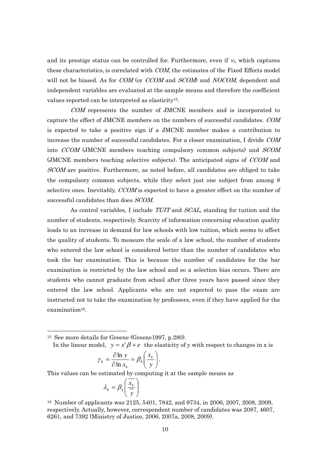and its prestige status can be controlled for. Furthermore, even if  $v_i$ , which captures these characteristics, is correlated with *COM*, the estimates of the Fixed Effects model will not be biased. As for *COM* (or *CCOM* and *SCOM*) and *NOCOM*, dependent and independent variables are evaluated at the sample means and therefore the coefficient values reported can be interpreted as elasticity15.

COM represents the number of JMCNE members and is incorporated to capture the effect of JMCNE members on the numbers of successful candidates. COM is expected to take a positive sign if a JMCNE member makes a contribution to increase the number of successful candidates. For a closer examination, I divide  $COM$ into CCOM (JMCNE members teaching compulsory common subjects) and SCOM (JMCNE members teaching selective subjects). The anticipated signs of CCOM and SCOM are positive. Furthermore, as noted before, all candidates are obliged to take the compulsory common subjects, while they select just one subject from among 8 selective ones. Inevitably, *CCOM* is expected to have a greater effect on the number of successful candidates than does *SCOM*.

As control variables, I include TUIT and SCAL, standing for tuition and the number of students, respectively. Scarcity of information concerning education quality leads to an increase in demand for law schools with low tuition, which seems to affect the quality of students. To measure the scale of a law school, the number of students who entered the law school is considered better than the number of candidates who took the bar examination. This is because the number of candidates for the bar examination is restricted by the law school and so a selection bias occurs. There are students who cannot graduate from school after three years have passed since they entered the law school. Applicants who are not expected to pass the exam are instructed not to take the examination by professors, even if they have applied for the examination16.

<sup>15</sup> See more details for Greene (Greene1997, p.280).

-

In the linear model, 
$$
y = x' \beta + e
$$
 the elasticity of y with respect to changes in x is

$$
\gamma_k = \frac{\partial \ln y}{\partial \ln x_k} = \beta_k \left( \frac{x_k}{y} \right).
$$

This values can be estimated by computing it at the sample means as

$$
\lambda_k = \beta_k \left( \frac{\overline{x_k}}{\overline{y}} \right)
$$

<sup>16</sup> Number of applicants was 2125, 5401, 7842, and 9734, in 2006, 2007, 2008, 2009, respectively. Actually, however, correspondent number of candidates was 2087, 4607, 6261, and 7392 (Ministry of Justice, 2006, 2007a, 2008, 2009).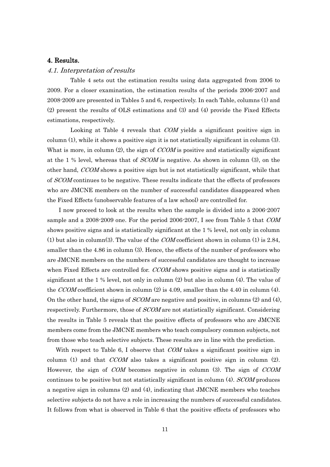#### 4. Results.

### 4.1. Interpretation of results

Table 4 sets out the estimation results using data aggregated from 2006 to 2009. For a closer examination, the estimation results of the periods 2006-2007 and 2008-2009 are presented in Tables 5 and 6, respectively. In each Table, columns (1) and (2) present the results of OLS estimations and (3) and (4) provide the Fixed Effects estimations, respectively.

Looking at Table 4 reveals that COM yields a significant positive sign in column (1), while it shows a positive sign it is not statistically significant in column (3). What is more, in column  $(2)$ , the sign of *CCOM* is positive and statistically significant at the 1 % level, whereas that of SCOM is negative. As shown in column (3), on the other hand, CCOM shows a positive sign but is not statistically significant, while that of *SCOM* continues to be negative. These results indicate that the effects of professors who are JMCNE members on the number of successful candidates disappeared when the Fixed Effects (unobservable features of a law school) are controlled for.

 I now proceed to look at the results when the sample is divided into a 2006-2007 sample and a 2008-2009 one. For the period 2006-2007, I see from Table 5 that COM shows positive signs and is statistically significant at the 1 % level, not only in column (1) but also in column(3). The value of the *COM* coefficient shown in column (1) is 2.84, smaller than the 4.86 in column (3). Hence, the effects of the number of professors who are JMCNE members on the numbers of successful candidates are thought to increase when Fixed Effects are controlled for. CCOM shows positive signs and is statistically significant at the 1 % level, not only in column (2) but also in column (4). The value of the CCOM coefficient shown in column  $(2)$  is 4.09, smaller than the 4.40 in column  $(4)$ . On the other hand, the signs of  $SCOM$  are negative and positive, in columns (2) and (4), respectively. Furthermore, those of *SCOM* are not statistically significant. Considering the results in Table 5 reveals that the positive effects of professors who are JMCNE members come from the JMCNE members who teach compulsory common subjects, not from those who teach selective subjects. These results are in line with the prediction.

With respect to Table 6, I observe that  $COM$  takes a significant positive sign in column (1) and that  $CCOM$  also takes a significant positive sign in column (2). However, the sign of COM becomes negative in column (3). The sign of CCOM continues to be positive but not statistically significant in column  $(4)$ . SCOM produces a negative sign in columns (2) and (4), indicating that JMCNE members who teaches selective subjects do not have a role in increasing the numbers of successful candidates. It follows from what is observed in Table 6 that the positive effects of professors who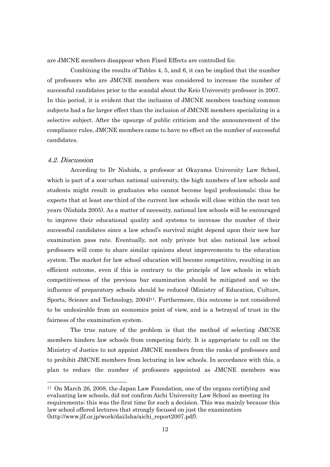are JMCNE members disappear when Fixed Effects are controlled for.

Combining the results of Tables 4, 5, and 6, it can be implied that the number of professors who are JMCNE members was considered to increase the number of successful candidates prior to the scandal about the Keio University professor in 2007. In this period, it is evident that the inclusion of JMCNE members teaching common subjects had a far larger effect than the inclusion of JMCNE members specializing in a selective subject. After the upsurge of public criticism and the announcement of the compliance rules, JMCNE members came to have no effect on the number of successful candidates.

#### 4.2. Discussion

1

According to Dr Nishida, a professor at Okayama University Law School, which is part of a non-urban national university, the high numbers of law schools and students might result in graduates who cannot become legal professionals; thus he expects that at least one-third of the current law schools will close within the next ten years (Nishida 2005). As a matter of necessity, national law schools will be encouraged to improve their educational quality and systems to increase the number of their successful candidates since a law school"s survival might depend upon their new bar examination pass rate. Eventually, not only private but also national law school professors will come to share similar opinions about improvements to the education system. The market for law school education will become competitive, resulting in an efficient outcome, even if this is contrary to the principle of law schools in which competitiveness of the previous bar examination should be mitigated and so the influence of preparatory schools should be reduced (Ministry of Education, Culture, Sports, Science and Technology, 2004)17. Furthermore, this outcome is not considered to be undesirable from an economics point of view, and is a betrayal of trust in the fairness of the examination system.

The true nature of the problem is that the method of selecting JMCNE members hinders law schools from competing fairly. It is appropriate to call on the Ministry of Justice to not appoint JMCNE members from the ranks of professors and to prohibit JMCNE members from lecturing in law schools. In accordance with this, a plan to reduce the number of professors appointed as JMCNE members was

<sup>17</sup> On March 26, 2008, the Japan Law Foundation, one of the organs certifying and evaluating law schools, did not confirm Aichi University Law School as meeting its requirements; this was the first time for such a decision. This was mainly because this law school offered lectures that strongly focused on just the examination (http://www.jlf.or.jp/work/dai3sha/aichi\_report2007.pdf).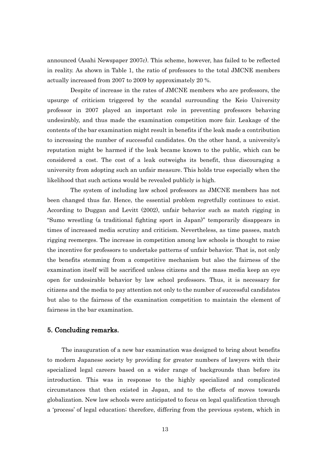announced (Asahi Newspaper 2007c). This scheme, however, has failed to be reflected in reality. As shown in Table 1, the ratio of professors to the total JMCNE members actually increased from 2007 to 2009 by approximately 20 %.

Despite of increase in the rates of JMCNE members who are professors, the upsurge of criticism triggered by the scandal surrounding the Keio University professor in 2007 played an important role in preventing professors behaving undesirably, and thus made the examination competition more fair. Leakage of the contents of the bar examination might result in benefits if the leak made a contribution to increasing the number of successful candidates. On the other hand, a university's reputation might be harmed if the leak became known to the public, which can be considered a cost. The cost of a leak outweighs its benefit, thus discouraging a university from adopting such an unfair measure. This holds true especially when the likelihood that such actions would be revealed publicly is high.

The system of including law school professors as JMCNE members has not been changed thus far. Hence, the essential problem regretfully continues to exist. According to Duggan and Levitt (2002), unfair behavior such as match rigging in "Sumo wrestling (a traditional fighting sport in Japan)" temporarily disappears in times of increased media scrutiny and criticism. Nevertheless, as time passes, match rigging reemerges. The increase in competition among law schools is thought to raise the incentive for professors to undertake patterns of unfair behavior. That is, not only the benefits stemming from a competitive mechanism but also the fairness of the examination itself will be sacrificed unless citizens and the mass media keep an eye open for undesirable behavior by law school professors. Thus, it is necessary for citizens and the media to pay attention not only to the number of successful candidates but also to the fairness of the examination competition to maintain the element of fairness in the bar examination.

# 5. Concluding remarks.

 The inauguration of a new bar examination was designed to bring about benefits to modern Japanese society by providing for greater numbers of lawyers with their specialized legal careers based on a wider range of backgrounds than before its introduction. This was in response to the highly specialized and complicated circumstances that then existed in Japan, and to the effects of moves towards globalization. New law schools were anticipated to focus on legal qualification through a "process" of legal education; therefore, differing from the previous system, which in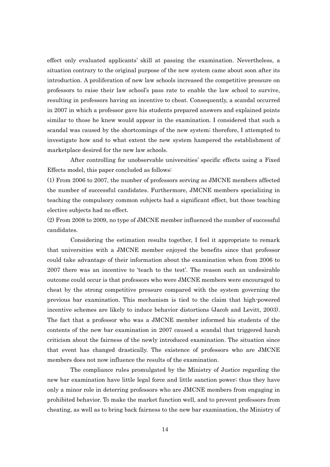effect only evaluated applicants" skill at passing the examination. Nevertheless, a situation contrary to the original purpose of the new system came about soon after its introduction. A proliferation of new law schools increased the competitive pressure on professors to raise their law school"s pass rate to enable the law school to survive, resulting in professors having an incentive to cheat. Consequently, a scandal occurred in 2007 in which a professor gave his students prepared answers and explained points similar to those he knew would appear in the examination. I considered that such a scandal was caused by the shortcomings of the new system; therefore, I attempted to investigate how and to what extent the new system hampered the establishment of marketplace desired for the new law schools.

After controlling for unobservable universities' specific effects using a Fixed Effects model, this paper concluded as follows:

(1) From 2006 to 2007, the number of professors serving as JMCNE members affected the number of successful candidates. Furthermore, JMCNE members specializing in teaching the compulsory common subjects had a significant effect, but those teaching elective subjects had no effect.

(2) From 2008 to 2009, no type of JMCNE member influenced the number of successful candidates.

Considering the estimation results together, I feel it appropriate to remark that universities with a JMCNE member enjoyed the benefits since that professor could take advantage of their information about the examination when from 2006 to 2007 there was an incentive to 'teach to the test'. The reason such an undesirable outcome could occur is that professors who were JMCNE members were encouraged to cheat by the strong competitive pressure compared with the system governing the previous bar examination. This mechanism is tied to the claim that high-powered incentive schemes are likely to induce behavior distortions (Jacob and Levitt, 2003). The fact that a professor who was a JMCNE member informed his students of the contents of the new bar examination in 2007 caused a scandal that triggered harsh criticism about the fairness of the newly introduced examination. The situation since that event has changed drastically. The existence of professors who are JMCNE members does not now influence the results of the examination.

The compliance rules promulgated by the Ministry of Justice regarding the new bar examination have little legal force and little sanction power; thus they have only a minor role in deterring professors who are JMCNE members from engaging in prohibited behavior. To make the market function well, and to prevent professors from cheating, as well as to bring back fairness to the new bar examination, the Ministry of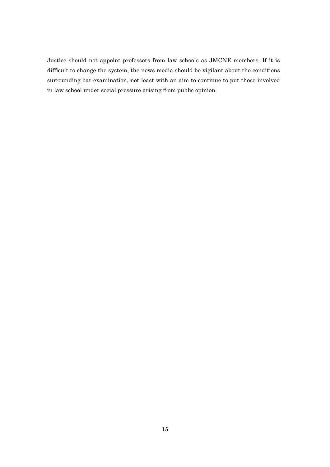Justice should not appoint professors from law schools as JMCNE members. If it is difficult to change the system, the news media should be vigilant about the conditions surrounding bar examination, not least with an aim to continue to put those involved in law school under social pressure arising from public opinion.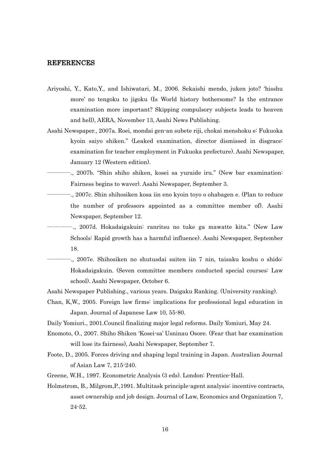#### REFERENCES

- Ariyoshi, Y., Kato,Y., and Ishiwatari, M., 2006. Sekaishi mendo, juken joto? "hisshu more" no tengoku to jigoku (Is World history bothersome? Is the entrance examination more important? Skipping compulsory subjects leads to heaven and hell), AERA, November 13, Asahi News Publishing.
- Asahi Newspaper., 2007a. Roei, mondai gen-an subete riji, chokai menshoku e: Fukuoka kyoin saiyo shiken." (Leaked examination, director dismissed in disgrace: examination for teacher employment in Fukuoka prefecture). Asahi Newspaper, January 12 (Western edition).
- ――――., 2007b. "Shin shiho shiken, kosei sa yuraide iru." (New bar examination: Fairness begins to waver). Asahi Newspaper, September 3.
- ――――., 2007c. Shin shihosiken kosa iin eno kyoin toyo o ohabagen e. (Plan to reduce the number of professors appointed as a committee member of). Asahi Newspaper, September 12.
	- ――――., 2007d. Hokadaigakuin: ranritsu no tuke ga mawatte kita." (New Law Schools: Rapid growth has a harmful influence). Asahi Newspaper, September 18.
		- ――――., 2007e. Shihosiken no shutusdai saiten iin 7 nin, taisaku koshu o shido: Hokadaigakuin. (Seven committee members conducted special courses: Law school). Asahi Newspaper, October 6.
- Asahi Newspaper Publishing., various years. Daigaku Ranking. (University ranking).
- Chan, K,W., 2005. Foreign law firms: implications for professional legal education in Japan. Journal of Japanese Law 10, 55-80.
- Daily Yomiuri., 2001.Council finalizing major legal reforms. Daily Yomiuri, May 24.
- Enomoto, O., 2007. Shiho Shiken "Kosei-sa" Usninau Osore. (Fear that bar examination will lose its fairness), Asahi Newspaper, September 7.
- Foote, D., 2005. Forces driving and shaping legal training in Japan. Australian Journal of Asian Law 7, 215-240.
- Greene, W.H., 1997. Econometric Analysis (3 eds). London: Prentice-Hall.
- Holmstrom, B., Milgrom,P.,1991. Multitask principle-agent analysis: incentive contracts, asset ownership and job design. Journal of Law, Economics and Organization 7, 24-52.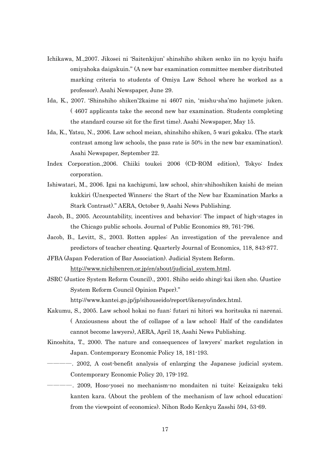- Ichikawa, M.,2007. Jikosei ni "Saitenkijun" shinshiho shiken senko iin no kyoju haifu omiyahoka daigakuin." (A new bar examination committee member distributed marking criteria to students of Omiya Law School where he worked as a professor). Asahi Newspaper, June 29.
- Ida, K., 2007. "Shinshiho shiken"2kaime ni 4607 nin, "mishu-sha"mo hajimete juken. ( 4607 applicants take the second new bar examination. Students completing the standard course sit for the first time). Asahi Newspaper, May 15.
- Ida, K., Yatsu, N., 2006. Law school meian, shinshiho shiken, 5 wari gokaku. (The stark contrast among law schools, the pass rate is 50% in the new bar examination). Asahi Newspaper, September 22.
- Index Corporation.,2006. Chiiki toukei 2006 (CD-ROM edition), Tokyo: Index corporation.
- Ishiwatari, M., 2006. Igai na kachigumi, law school, shin-shihoshiken kaishi de meian kukkiri (Unexpected Winners: the Start of the New bar Examination Marks a Stark Contrast)." AERA, October 9, Asahi News Publishing.
- Jacob, B., 2005. Accountability, incentives and behavior: The impact of high-stages in the Chicago public schools. Journal of Public Economics 89, 761-796.
- Jacob, B., Levitt, S., 2003. Rotten apples: An investigation of the prevalence and predictors of teacher cheating. Quarterly Journal of Economics, 118, 843-877.
- JFBA (Japan Federation of Bar Association). Judicial System Reform. [http://www.nichibenren.or.jp/en/about/judicial\\_system.html.](http://www.nichibenren.or.jp/en/about/judicial_system.html)
- JSRC (Justice System Reform Council)., 2001. Shiho seido shingi-kai iken sho. (Justice System Reform Council Opinion Paper)."

http://www.kantei.go.jp/jp/sihouseido/report/ikensyo/index.html.

- Kakumu, S., 2005. Law school hokai no fuan: futari ni hitori wa horitsuka ni narenai. ( Anxiousness about the of collapse of a law school: Half of the candidates cannot become lawyers), AERA, April 18, Asahi News Publishing.
- Kinoshita, T., 2000. The nature and consequences of lawyers' market regulation in Japan. Contemporary Economic Policy 18, 181-193.
- ――――. 2002, A cost-benefit analysis of enlarging the Japanese judicial system. Contemporary Economic Policy 20, 179-192.
- ――――. 2009, Hoso-yosei no mechanism-no mondaiten ni tuite: Keizaigaku teki kanten kara. (About the problem of the mechanism of law school education: from the viewpoint of economics). Nihon Rodo Kenkyu Zasshi 594, 53-69.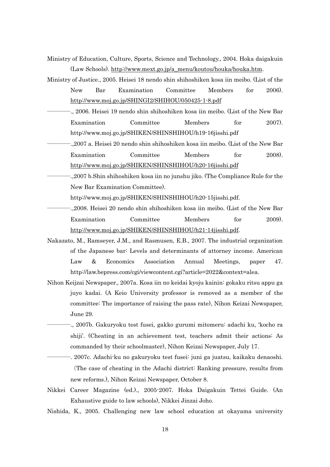- Ministry of Education, Culture, Sports, Science and Technology., 2004. Hoka daigakuin (Law Schools). [http://www.mext.go.jp/a\\_menu/koutou/houka/houka.htm.](http://www.mext.go.jp/a_menu/koutou/houka/houka.htm)
- Ministry of Justice., 2005. Heisei 18 nendo shin shihoshiken kosa iin meibo. (List of the New Bar Examination Committee Members for 2006). <http://www.moj.go.jp/SHINGI2/SHIHOU/050425-1-8.pdf>
	- ――――., 2006. Heisei 19 nendo shin shihoshiken kosa iin meibo. (List of the New Bar Examination Committee Members for 2007). http://www.moj.go.jp/SHIKEN/SHINSHIHOU/h19-16jisshi.pdf
	- ――――.,2007 a. Heisei 20 nendo shin shihoshiken kosa iin meibo. (List of the New Bar Examination Committee Members for 2008). <http://www.moj.go.jp/SHIKEN/SHINSHIHOU/h20-16jisshi.pdf>
- ――――.,2007 b.Shin shihoshiken kosa iin no junshu jiko. (The Compliance Rule for the New Bar Examination Committee).

http://www.moj.go.jp/SHIKEN/SHINSHIHOU/h20-15jisshi.pdf.

- ――――.,2008. Heisei 20 nendo shin shihoshiken kosa iin meibo. (List of the New Bar Examination Committee Members for 2009). [http://www.moj.go.jp/SHIKEN/SHINSHIHOU/h21-14jisshi.pdf.](http://www.moj.go.jp/SHIKEN/SHINSHIHOU/h21-14jisshi.pdf)
- Nakazato, M., Ramseyer, J.M., and Rasmusen, E.B., 2007. The industrial organization of the Japanese bar: Levels and determinants of attorney income. American Law & Economics Association Annual Meetings, paper 47. http://law.bepress.com/cgi/viewcontent.cgi?article=2022&context=alea.
- Nihon Keijzai Newspaper., 2007a. Kosa iin no keidai kyoju kainin: gokaku ritsu appu ga juyo kadai. (A Keio University professor is removed as a member of the committee: The importance of raising the pass rate), Nihon Keizai Newspaper, June 29.
- ――――., 2007b. Gakuryoku test fusei, gakko gurumi mitomeru: adachi ku, "kocho ra shiji". (Cheating in an achievement test, teachers admit their actions: As commanded by their schoolmaster), Nihon Keizai Newspaper, July 17.
- ――――. 2007c. Adachi-ku no gakuryoku test fusei: juni ga juatsu, kaikaku denaoshi. (The case of cheating in the Adachi district: Ranking pressure, results from new reforms.), Nihon Keizai Newspaper, October 8.
- Nikkei Career Magazine (ed.)., 2005-2007. Hoka Daigakuin Tettei Guide. (An Exhaustive guide to law schools), Nikkei Jinzai Joho.
- Nishida, K., 2005. Challenging new law school education at okayama university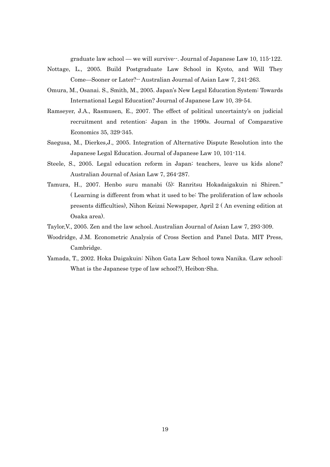graduate law school — we will survive--. Journal of Japanese Law 10, 115-122.

- Nottage, L., 2005. Build Postgraduate Law School in Kyoto, and Will They Come—Sooner or Later?-- Australian Journal of Asian Law 7, 241-263.
- Omura, M., Osanai. S., Smith, M., 2005. Japan"s New Legal Education System: Towards International Legal Education? Journal of Japanese Law 10, 39-54.
- Ramseyer, J.A., Rasmusen, E., 2007. The effect of political uncertainty's on judicial recruitment and retention: Japan in the 1990s. Journal of Comparative Economics 35, 329-345.
- Saegusa, M., Dierkes,J., 2005. Integration of Alternative Dispute Resolution into the Japanese Legal Education. Journal of Japanese Law 10, 101-114.
- Steele, S., 2005. Legal education reform in Japan: teachers, leave us kids alone? Australian Journal of Asian Law 7, 264-287.
- Tamura, H., 2007. Henbo suru manabi (5): Ranritsu Hokadaigakuin ni Shiren." ( Learning is different from what it used to be: The proliferation of law schools presents difficulties), Nihon Keizai Newspaper, April 2 ( An evening edition at Osaka area).
- Taylor,V., 2005. Zen and the law school. Australian Journal of Asian Law 7, 293-309.
- Woodridge, J.M. Econometric Analysis of Cross Section and Panel Data. MIT Press, Cambridge.
- Yamada, T., 2002. Hoka Daigakuin: Nihon Gata Law School towa Nanika. (Law school: What is the Japanese type of law school?), Heibon-Sha.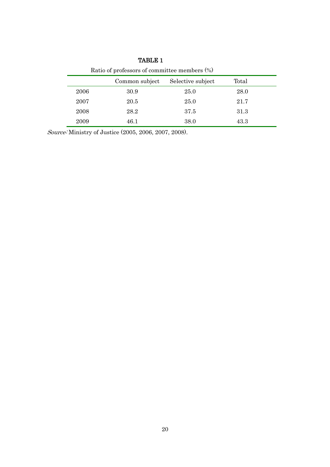| Ratio of professors of committee members $(\%)$ |                |                   |       |  |  |
|-------------------------------------------------|----------------|-------------------|-------|--|--|
|                                                 | Common subject | Selective subject | Total |  |  |
| 2006                                            | 30.9           | 25.0              | 28.0  |  |  |
| 2007                                            | 20.5           | 25.0              | 21.7  |  |  |
| 2008                                            | 28.2           | 37.5              | 31.3  |  |  |
| 2009                                            | 46.1           | 38.0              | 43.3  |  |  |

TABLE 1

Source: Ministry of Justice (2005, 2006, 2007, 2008).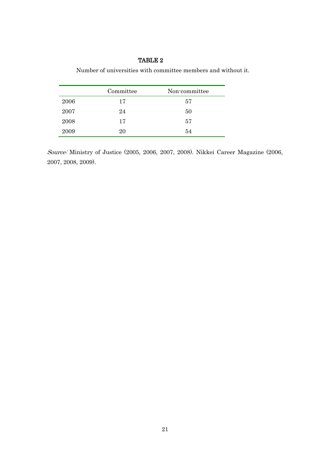Number of universities with committee members and without it.

|      | Committee | Non-committee |
|------|-----------|---------------|
| 2006 | 17        | 57            |
| 2007 | 24        | 50            |
| 2008 | 17        | 57            |
| 2009 | 20        | 54            |

Source: Ministry of Justice (2005, 2006, 2007, 2008). Nikkei Career Magazine (2006, 2007, 2008, 2009).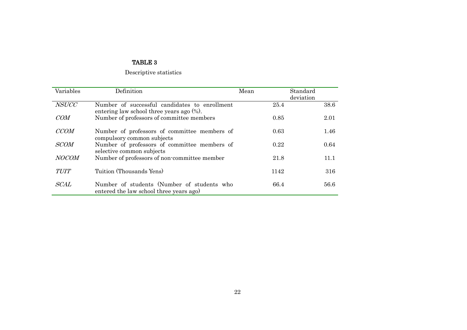## Descriptive statistics

| Variables    | Definition                                                                                     | Mean | Standard<br>deviation |
|--------------|------------------------------------------------------------------------------------------------|------|-----------------------|
| <b>NSUCC</b> | Number of successful candidates to enrollment<br>entering law school three years ago $(\% )$ . | 25.4 | 38.6                  |
| COM          | Number of professors of committee members                                                      | 0.85 | 2.01                  |
| <i>CCOM</i>  | Number of professors of committee members of<br>compulsory common subjects                     | 0.63 | 1.46                  |
| <b>SCOM</b>  | Number of professors of committee members of<br>selective common subjects                      | 0.22 | 0.64                  |
| <i>NOCOM</i> | Number of professors of non-committee member                                                   | 21.8 | 11.1                  |
| <b>TUIT</b>  | Tuition (Thousands Yens)                                                                       | 1142 | 316                   |
| <i>SCAL</i>  | Number of students (Number of students who<br>entered the law school three years ago)          | 66.4 | 56.6                  |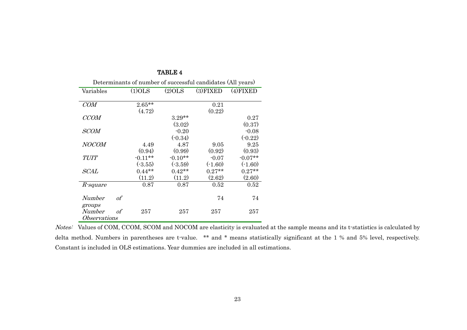| Determinants of number of successful candidates (All years) |    |           |           |             |           |
|-------------------------------------------------------------|----|-----------|-----------|-------------|-----------|
| Variables                                                   |    | (1)OLS    | $(2)$ OLS | $(3)$ FIXED | (4)FIXED  |
|                                                             |    |           |           |             |           |
| COM                                                         |    | $2.65**$  |           | 0.21        |           |
|                                                             |    | (4.72)    |           | (0.22)      |           |
| CCOM                                                        |    |           | $3.29**$  |             | 0.27      |
|                                                             |    |           | (3.02)    |             | (0.37)    |
| <b>SCOM</b>                                                 |    |           | $-0.20$   |             | $-0.08$   |
|                                                             |    |           | $(-0.34)$ |             | $(-0.22)$ |
| NOCOM                                                       |    | 4.49      | 4.87      | 9.05        | 9.25      |
|                                                             |    | (0.94)    | (0.99)    | (0.92)      | (0.93)    |
| TUIT                                                        |    | $-0.11**$ | $-0.10**$ | $-0.07$     | $-0.07**$ |
|                                                             |    | (.3.55)   | $(-3.59)$ | $(-1.60)$   | $(-1.60)$ |
| $\it SCAL$                                                  |    | $0.44**$  | $0.42**$  | $0.27**$    | $0.27**$  |
|                                                             |    | (11.2)    | (11.2)    | (2.62)      | (2.60)    |
| R-square                                                    |    | 0.87      | 0.87      | 0.52        | 0.52      |
|                                                             |    |           |           |             |           |
| Number                                                      | of |           |           | 74          | 74        |
| groups                                                      |    |           |           |             |           |
| Number                                                      | оf | 257       | 257       | 257         | 257       |
| <i>Observations</i>                                         |    |           |           |             |           |

TABLE 4

Notes: Values of COM, CCOM, SCOM and NOCOM are elasticity is evaluated at the sample means and its t-statistics is calculated by delta method. Numbers in parentheses are t-value. \*\* and \* means statistically significant at the 1 % and 5% level, respectively. Constant is included in OLS estimations. Year dummies are included in all estimations.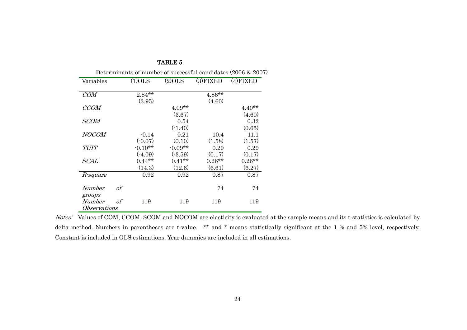| Determinants of number of successful candidates $(2006 \& 2007)$ |            |           |           |          |          |
|------------------------------------------------------------------|------------|-----------|-----------|----------|----------|
| Variables                                                        |            | $(1)$ OLS | (2)OLS    | (3)FIXED | (4)FIXED |
|                                                                  |            |           |           |          |          |
| $\mathit{COM}$                                                   |            | $2.84**$  |           | $4.86**$ |          |
|                                                                  |            | (3.95)    |           | (4.60)   |          |
| CCOM                                                             |            |           | $4.09**$  |          | $4.40**$ |
|                                                                  |            |           | (3.67)    |          | (4.60)   |
| <i>SCOM</i>                                                      |            |           | $-0.54$   |          | 0.32     |
|                                                                  |            |           | $(-1.40)$ |          | (0.65)   |
| NOCOM                                                            |            | $-0.14$   | 0.21      | 10.4     | 11.1     |
|                                                                  |            | $(-0.07)$ | (0.10)    | (1.58)   | (1.57)   |
| TUIT                                                             |            | $-0.10**$ | $-0.09**$ | 0.29     | 0.29     |
|                                                                  |            | $(-4.09)$ | (.3.59)   | (0.17)   | (0.17)   |
| <i>SCAL</i>                                                      |            | $0.44**$  | $0.41**$  | $0.26**$ | $0.26**$ |
|                                                                  |            | (14.3)    | (12.6)    | (6.61)   | (6.27)   |
| <i>R</i> -square                                                 |            | 0.92      | 0.92      | 0.87     | 0.87     |
|                                                                  |            |           |           |          |          |
| Number                                                           | of         |           |           | 74       | 74       |
| groups                                                           |            |           |           |          |          |
| Number                                                           | $\sigma f$ | 119       | 119       | 119      | 119      |
| <i><b>Observations</b></i>                                       |            |           |           |          |          |

Notes: Values of COM, CCOM, SCOM and NOCOM are elasticity is evaluated at the sample means and its t-statistics is calculated by delta method. Numbers in parentheses are t-value. \*\* and \* means statistically significant at the 1 % and 5% level, respectively. Constant is included in OLS estimations. Year dummies are included in all estimations.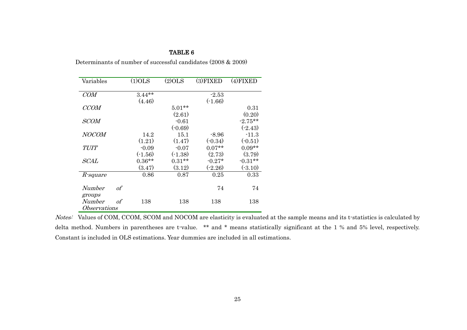Determinants of number of successful candidates (2008 & 2009)

| Variables                  | $(1)$ OLS | $(2)$ OLS | (3)FIXED  | (4)FIXED  |
|----------------------------|-----------|-----------|-----------|-----------|
| COM                        | $3.44**$  |           | $-2.53$   |           |
|                            | (4.46)    |           | $(-1.66)$ |           |
| <b>CCOM</b>                |           | $5.01**$  |           | 0.31      |
|                            |           | (2.61)    |           | (0.20)    |
| <i>SCOM</i>                |           | $-0.61$   |           | $-2.75**$ |
|                            |           | $(-0.69)$ |           | $(-2.43)$ |
| <b>NOCOM</b>               | 14.2      | 15.1      | $-8.96$   | $-11.3$   |
|                            | (1.21)    | (1.47)    | $(-0.34)$ | $(-0.51)$ |
| TUIT                       | $-0.09$   | $-0.07$   | $0.07**$  | $0.09**$  |
|                            | $(-1.56)$ | $(-1.38)$ | (2.73)    | (3.79)    |
| $\mathit{SCAL}$            | $0.36**$  | $0.31**$  | $-0.27*$  | $-0.31**$ |
|                            | (3.47)    | (3.12)    | $(-2.26)$ | $(-3.10)$ |
| <i>R</i> -square           | 0.86      | 0.87      | 0.25      | 0.33      |
|                            |           |           |           |           |
| of<br>Number               |           |           | 74        | 74        |
| groups                     |           |           |           |           |
| Number<br>of               | 138       | 138       | 138       | 138       |
| <i><b>Observations</b></i> |           |           |           |           |

Notes: Values of COM, CCOM, SCOM and NOCOM are elasticity is evaluated at the sample means and its t-statistics is calculated by delta method. Numbers in parentheses are t-value. \*\* and \* means statistically significant at the 1 % and 5% level, respectively. Constant is included in OLS estimations. Year dummies are included in all estimations.